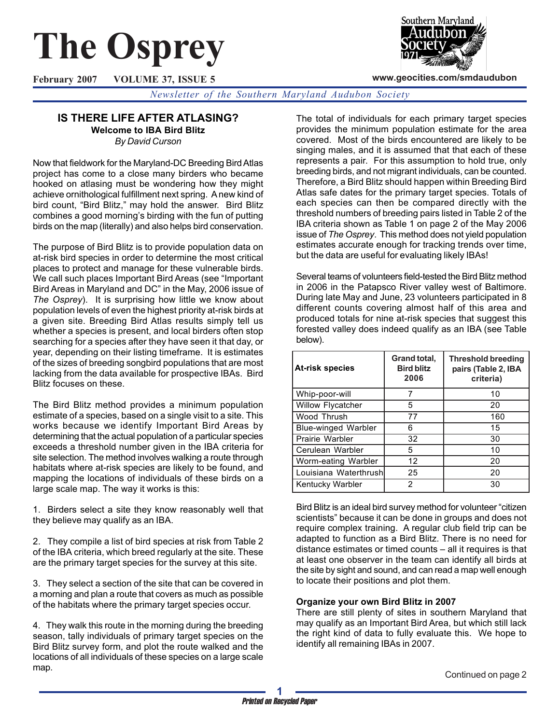# **The Osprey**

**February 2007 VOLUME 37, ISSUE 5**



**www.geocities.com/smdaudubon**

*Newsletter of the Southern Maryland Audubon Society*

## **IS THERE LIFE AFTER ATLASING? Welcome to IBA Bird Blitz**

*By David Curson*

Now that fieldwork for the Maryland-DC Breeding Bird Atlas project has come to a close many birders who became hooked on atlasing must be wondering how they might achieve ornithological fulfillment next spring. A new kind of bird count, "Bird Blitz," may hold the answer. Bird Blitz combines a good morning's birding with the fun of putting birds on the map (literally) and also helps bird conservation.

The purpose of Bird Blitz is to provide population data on at-risk bird species in order to determine the most critical places to protect and manage for these vulnerable birds. We call such places Important Bird Areas (see "Important Bird Areas in Maryland and DC" in the May, 2006 issue of *The Osprey*). It is surprising how little we know about population levels of even the highest priority at-risk birds at a given site. Breeding Bird Atlas results simply tell us whether a species is present, and local birders often stop searching for a species after they have seen it that day, or year, depending on their listing timeframe. It is estimates of the sizes of breeding songbird populations that are most lacking from the data available for prospective IBAs. Bird Blitz focuses on these.

The Bird Blitz method provides a minimum population estimate of a species, based on a single visit to a site. This works because we identify Important Bird Areas by determining that the actual population of a particular species exceeds a threshold number given in the IBA criteria for site selection. The method involves walking a route through habitats where at-risk species are likely to be found, and mapping the locations of individuals of these birds on a large scale map. The way it works is this:

1. Birders select a site they know reasonably well that they believe may qualify as an IBA.

2. They compile a list of bird species at risk from Table 2 of the IBA criteria, which breed regularly at the site. These are the primary target species for the survey at this site.

3. They select a section of the site that can be covered in a morning and plan a route that covers as much as possible of the habitats where the primary target species occur.

4. They walk this route in the morning during the breeding season, tally individuals of primary target species on the Bird Blitz survey form, and plot the route walked and the locations of all individuals of these species on a large scale map.

The total of individuals for each primary target species provides the minimum population estimate for the area covered. Most of the birds encountered are likely to be singing males, and it is assumed that that each of these represents a pair. For this assumption to hold true, only breeding birds, and not migrant individuals, can be counted. Therefore, a Bird Blitz should happen within Breeding Bird Atlas safe dates for the primary target species. Totals of each species can then be compared directly with the threshold numbers of breeding pairs listed in Table 2 of the IBA criteria shown as Table 1 on page 2 of the May 2006 issue of *The Osprey*. This method does not yield population estimates accurate enough for tracking trends over time, but the data are useful for evaluating likely IBAs!

Several teams of volunteers field-tested the Bird Blitz method in 2006 in the Patapsco River valley west of Baltimore. During late May and June, 23 volunteers participated in 8 different counts covering almost half of this area and produced totals for nine at-risk species that suggest this forested valley does indeed qualify as an IBA (see Table below).

| <b>At-risk species</b>     | Grand total,<br><b>Bird blitz</b><br>2006 | <b>Threshold breeding</b><br>pairs (Table 2, IBA<br>criteria) |
|----------------------------|-------------------------------------------|---------------------------------------------------------------|
| Whip-poor-will             |                                           | 10                                                            |
| Willow Flycatcher          | 5                                         | 20                                                            |
| Wood Thrush                | 77                                        | 160                                                           |
| <b>Blue-winged Warbler</b> | 6                                         | 15                                                            |
| Prairie Warbler            | 32                                        | 30                                                            |
| Cerulean Warbler           | 5                                         | 10                                                            |
| Worm-eating Warbler        | 12                                        | 20                                                            |
| Louisiana Waterthrushl     | 25                                        | 20                                                            |
| Kentucky Warbler           | 2                                         | 30                                                            |

Bird Blitz is an ideal bird survey method for volunteer "citizen scientists" because it can be done in groups and does not require complex training. A regular club field trip can be adapted to function as a Bird Blitz. There is no need for distance estimates or timed counts – all it requires is that at least one observer in the team can identify all birds at the site by sight and sound, and can read a map well enough to locate their positions and plot them.

## **Organize your own Bird Blitz in 2007**

There are still plenty of sites in southern Maryland that may qualify as an Important Bird Area, but which still lack the right kind of data to fully evaluate this. We hope to identify all remaining IBAs in 2007.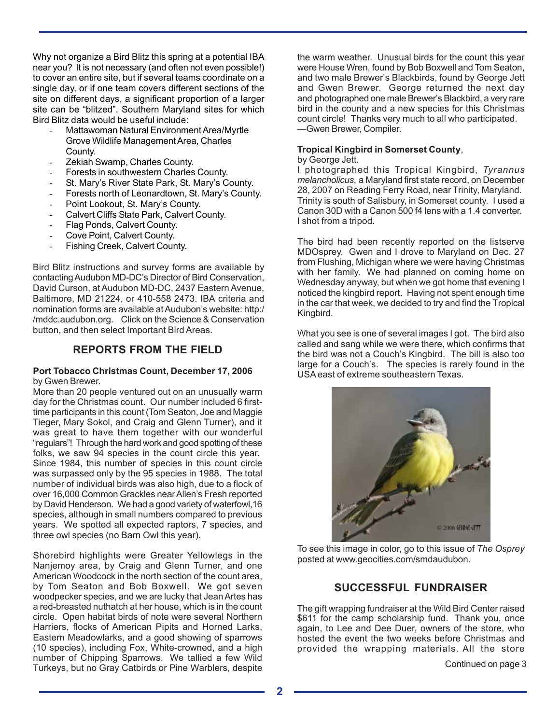Why not organize a Bird Blitz this spring at a potential IBA near you? It is not necessary (and often not even possible!) to cover an entire site, but if several teams coordinate on a single day, or if one team covers different sections of the site on different days, a significant proportion of a larger site can be "blitzed". Southern Maryland sites for which Bird Blitz data would be useful include:

- Mattawoman Natural Environment Area/Myrtle Grove Wildlife Management Area, Charles County.
- Zekiah Swamp, Charles County.
- Forests in southwestern Charles County.
- St. Mary's River State Park, St. Mary's County.
- Forests north of Leonardtown, St. Mary's County.
- Point Lookout, St. Mary's County.
- Calvert Cliffs State Park, Calvert County.
- Flag Ponds, Calvert County.
- Cove Point, Calvert County.
- Fishing Creek, Calvert County.

Bird Blitz instructions and survey forms are available by contacting Audubon MD-DC's Director of Bird Conservation, David Curson, at Audubon MD-DC, 2437 Eastern Avenue, Baltimore, MD 21224, or 410-558 2473. IBA criteria and nomination forms are available at Audubon's website: http:/ /mddc.audubon.org. Click on the Science & Conservation button, and then select Important Bird Areas.

# **REPORTS FROM THE FIELD**

#### **Port Tobacco Christmas Count, December 17, 2006** by Gwen Brewer.

More than 20 people ventured out on an unusually warm day for the Christmas count. Our number included 6 firsttime participants in this count (Tom Seaton, Joe and Maggie Tieger, Mary Sokol, and Craig and Glenn Turner), and it was great to have them together with our wonderful "regulars"! Through the hard work and good spotting of these folks, we saw 94 species in the count circle this year. Since 1984, this number of species in this count circle was surpassed only by the 95 species in 1988. The total number of individual birds was also high, due to a flock of over 16,000 Common Grackles near Allen's Fresh reported by David Henderson. We had a good variety of waterfowl,16 species, although in small numbers compared to previous years. We spotted all expected raptors, 7 species, and three owl species (no Barn Owl this year).

Shorebird highlights were Greater Yellowlegs in the Nanjemoy area, by Craig and Glenn Turner, and one American Woodcock in the north section of the count area, by Tom Seaton and Bob Boxwell. We got seven woodpecker species, and we are lucky that Jean Artes has a red-breasted nuthatch at her house, which is in the count circle. Open habitat birds of note were several Northern Harriers, flocks of American Pipits and Horned Larks, Eastern Meadowlarks, and a good showing of sparrows (10 species), including Fox, White-crowned, and a high number of Chipping Sparrows. We tallied a few Wild Turkeys, but no Gray Catbirds or Pine Warblers, despite

the warm weather. Unusual birds for the count this year were House Wren, found by Bob Boxwell and Tom Seaton, and two male Brewer's Blackbirds, found by George Jett and Gwen Brewer. George returned the next day and photographed one male Brewer's Blackbird, a very rare bird in the county and a new species for this Christmas count circle! Thanks very much to all who participated. —Gwen Brewer, Compiler.

# **Tropical Kingbird in Somerset County**,

#### by George Jett.

I photographed this Tropical Kingbird, *Tyrannus melancholicus*, a Maryland first state record, on December 28, 2007 on Reading Ferry Road, near Trinity, Maryland. Trinity is south of Salisbury, in Somerset county. I used a Canon 30D with a Canon 500 f4 lens with a 1.4 converter. I shot from a tripod.

The bird had been recently reported on the listserve MDOsprey. Gwen and I drove to Maryland on Dec. 27 from Flushing, Michigan where we were having Christmas with her family. We had planned on coming home on Wednesday anyway, but when we got home that evening I noticed the kingbird report. Having not spent enough time in the car that week, we decided to try and find the Tropical Kingbird.

What you see is one of several images I got. The bird also called and sang while we were there, which confirms that the bird was not a Couch's Kingbird. The bill is also too large for a Couch's. The species is rarely found in the USA east of extreme southeastern Texas.



To see this image in color, go to this issue of *The Osprey* posted at www.geocities.com/smdaudubon.

## **SUCCESSFUL FUNDRAISER**

The gift wrapping fundraiser at the Wild Bird Center raised \$611 for the camp scholarship fund. Thank you, once again, to Lee and Dee Duer, owners of the store, who hosted the event the two weeks before Christmas and provided the wrapping materials. All the store

Continued on page 3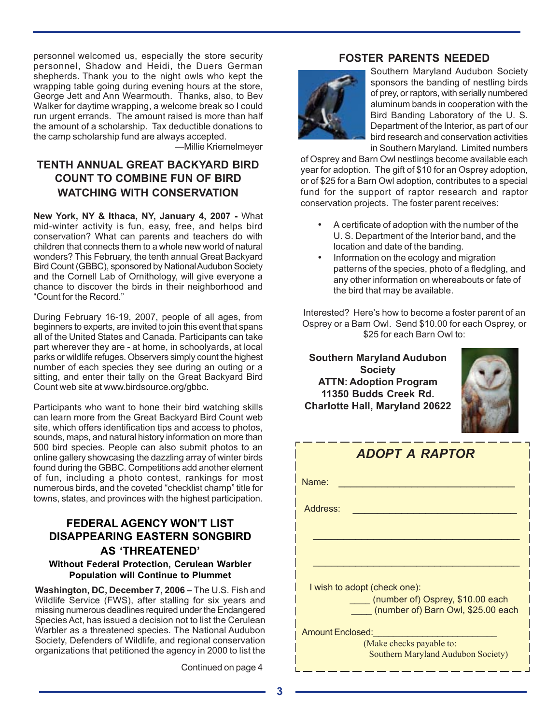personnel welcomed us, especially the store security personnel, Shadow and Heidi, the Duers German shepherds. Thank you to the night owls who kept the wrapping table going during evening hours at the store, George Jett and Ann Wearmouth. Thanks, also, to Bev Walker for daytime wrapping, a welcome break so I could run urgent errands. The amount raised is more than half the amount of a scholarship. Tax deductible donations to the camp scholarship fund are always accepted.

—Millie Kriemelmeyer

# **TENTH ANNUAL GREAT BACKYARD BIRD COUNT TO COMBINE FUN OF BIRD WATCHING WITH CONSERVATION**

**New York, NY & Ithaca, NY, January 4, 2007 -** What mid-winter activity is fun, easy, free, and helps bird conservation? What can parents and teachers do with children that connects them to a whole new world of natural wonders? This February, the tenth annual Great Backyard Bird Count (GBBC), sponsored by National Audubon Society and the Cornell Lab of Ornithology, will give everyone a chance to discover the birds in their neighborhood and "Count for the Record."

During February 16-19, 2007, people of all ages, from beginners to experts, are invited to join this event that spans all of the United States and Canada. Participants can take part wherever they are - at home, in schoolyards, at local parks or wildlife refuges. Observers simply count the highest number of each species they see during an outing or a sitting, and enter their tally on the Great Backyard Bird Count web site at www.birdsource.org/gbbc.

Participants who want to hone their bird watching skills can learn more from the Great Backyard Bird Count web site, which offers identification tips and access to photos, sounds, maps, and natural history information on more than 500 bird species. People can also submit photos to an online gallery showcasing the dazzling array of winter birds found during the GBBC. Competitions add another element of fun, including a photo contest, rankings for most numerous birds, and the coveted "checklist champ" title for towns, states, and provinces with the highest participation.

# **FEDERAL AGENCY WON'T LIST DISAPPEARING EASTERN SONGBIRD AS 'THREATENED'**

#### **Without Federal Protection, Cerulean Warbler Population will Continue to Plummet**

**Washington, DC, December 7, 2006 –** The U.S. Fish and Wildlife Service (FWS), after stalling for six years and missing numerous deadlines required under the Endangered Species Act, has issued a decision not to list the Cerulean Warbler as a threatened species. The National Audubon Society, Defenders of Wildlife, and regional conservation organizations that petitioned the agency in 2000 to list the

Continued on page 4

## **FOSTER PARENTS NEEDED**



Southern Maryland Audubon Society sponsors the banding of nestling birds of prey, or raptors, with serially numbered aluminum bands in cooperation with the Bird Banding Laboratory of the U. S. Department of the Interior, as part of our bird research and conservation activities in Southern Maryland. Limited numbers

of Osprey and Barn Owl nestlings become available each year for adoption. The gift of \$10 for an Osprey adoption, or of \$25 for a Barn Owl adoption, contributes to a special fund for the support of raptor research and raptor conservation projects. The foster parent receives:

- A certificate of adoption with the number of the U. S. Department of the Interior band, and the location and date of the banding.
- Information on the ecology and migration patterns of the species, photo of a fledgling, and any other information on whereabouts or fate of the bird that may be available.

Interested? Here's how to become a foster parent of an Osprey or a Barn Owl. Send \$10.00 for each Osprey, or \$25 for each Barn Owl to:

**Southern Maryland Audubon Society ATTN: Adoption Program 11350 Budds Creek Rd. Charlotte Hall, Maryland 20622**



| <b>ADOPT A RAPTOR</b>                                                  |  |  |  |  |
|------------------------------------------------------------------------|--|--|--|--|
| Name:                                                                  |  |  |  |  |
| Address:                                                               |  |  |  |  |
|                                                                        |  |  |  |  |
|                                                                        |  |  |  |  |
| I wish to adopt (check one):                                           |  |  |  |  |
| (number of) Osprey, \$10.00 each<br>(number of) Barn Owl, \$25.00 each |  |  |  |  |
| <b>Amount Enclosed:</b>                                                |  |  |  |  |
| (Make checks payable to:<br>Southern Maryland Audubon Society)         |  |  |  |  |

\_\_\_\_\_\_\_\_\_\_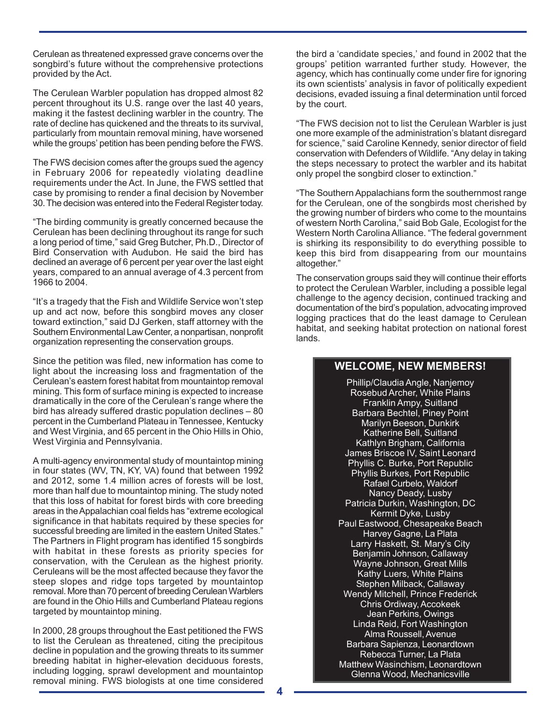Cerulean as threatened expressed grave concerns over the songbird's future without the comprehensive protections provided by the Act.

The Cerulean Warbler population has dropped almost 82 percent throughout its U.S. range over the last 40 years, making it the fastest declining warbler in the country. The rate of decline has quickened and the threats to its survival, particularly from mountain removal mining, have worsened while the groups' petition has been pending before the FWS.

The FWS decision comes after the groups sued the agency in February 2006 for repeatedly violating deadline requirements under the Act. In June, the FWS settled that case by promising to render a final decision by November 30. The decision was entered into the Federal Register today.

"The birding community is greatly concerned because the Cerulean has been declining throughout its range for such a long period of time," said Greg Butcher, Ph.D., Director of Bird Conservation with Audubon. He said the bird has declined an average of 6 percent per year over the last eight years, compared to an annual average of 4.3 percent from 1966 to 2004.

"It's a tragedy that the Fish and Wildlife Service won't step up and act now, before this songbird moves any closer toward extinction," said DJ Gerken, staff attorney with the Southern Environmental Law Center, a nonpartisan, nonprofit organization representing the conservation groups.

Since the petition was filed, new information has come to light about the increasing loss and fragmentation of the Cerulean's eastern forest habitat from mountaintop removal mining. This form of surface mining is expected to increase dramatically in the core of the Cerulean's range where the bird has already suffered drastic population declines – 80 percent in the Cumberland Plateau in Tennessee, Kentucky and West Virginia, and 65 percent in the Ohio Hills in Ohio, West Virginia and Pennsylvania.

A multi-agency environmental study of mountaintop mining in four states (WV, TN, KY, VA) found that between 1992 and 2012, some 1.4 million acres of forests will be lost, more than half due to mountaintop mining. The study noted that this loss of habitat for forest birds with core breeding areas in the Appalachian coal fields has "extreme ecological significance in that habitats required by these species for successful breeding are limited in the eastern United States." The Partners in Flight program has identified 15 songbirds with habitat in these forests as priority species for conservation, with the Cerulean as the highest priority. Ceruleans will be the most affected because they favor the steep slopes and ridge tops targeted by mountaintop removal. More than 70 percent of breeding Cerulean Warblers are found in the Ohio Hills and Cumberland Plateau regions targeted by mountaintop mining.

In 2000, 28 groups throughout the East petitioned the FWS to list the Cerulean as threatened, citing the precipitous decline in population and the growing threats to its summer breeding habitat in higher-elevation deciduous forests, including logging, sprawl development and mountaintop removal mining. FWS biologists at one time considered the bird a 'candidate species,' and found in 2002 that the groups' petition warranted further study. However, the agency, which has continually come under fire for ignoring its own scientists' analysis in favor of politically expedient decisions, evaded issuing a final determination until forced by the court.

"The FWS decision not to list the Cerulean Warbler is just one more example of the administration's blatant disregard for science," said Caroline Kennedy, senior director of field conservation with Defenders of Wildlife. "Any delay in taking the steps necessary to protect the warbler and its habitat only propel the songbird closer to extinction."

"The Southern Appalachians form the southernmost range for the Cerulean, one of the songbirds most cherished by the growing number of birders who come to the mountains of western North Carolina," said Bob Gale, Ecologist for the Western North Carolina Alliance. "The federal government is shirking its responsibility to do everything possible to keep this bird from disappearing from our mountains altogether."

The conservation groups said they will continue their efforts to protect the Cerulean Warbler, including a possible legal challenge to the agency decision, continued tracking and documentation of the bird's population, advocating improved logging practices that do the least damage to Cerulean habitat, and seeking habitat protection on national forest lands.

## **WELCOME, NEW MEMBERS!**

Phillip/Claudia Angle, Nanjemoy Rosebud Archer, White Plains Franklin Ampy, Suitland Barbara Bechtel, Piney Point Marilyn Beeson, Dunkirk Katherine Bell, Suitland Kathlyn Brigham, California James Briscoe IV, Saint Leonard Phyllis C. Burke, Port Republic Phyllis Burkes, Port Republic Rafael Curbelo, Waldorf Nancy Deady, Lusby Patricia Durkin, Washington, DC Kermit Dyke, Lusby Paul Eastwood, Chesapeake Beach Harvey Gagne, La Plata Larry Haskett, St. Mary's City Benjamin Johnson, Callaway Wayne Johnson, Great Mills Kathy Luers, White Plains Stephen Milback, Callaway Wendy Mitchell, Prince Frederick Chris Ordiway, Accokeek Jean Perkins, Owings Linda Reid, Fort Washington Alma Roussell, Avenue Barbara Sapienza, Leonardtown Rebecca Turner, La Plata Matthew Wasinchism, Leonardtown Glenna Wood, Mechanicsville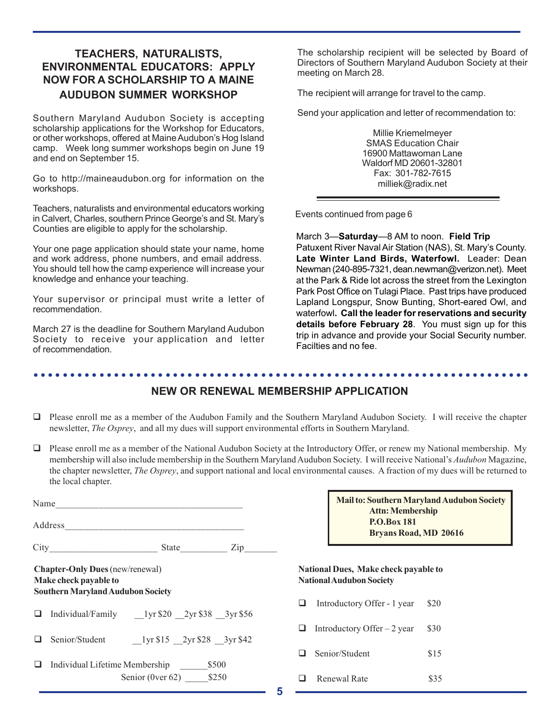# **TEACHERS, NATURALISTS, ENVIRONMENTAL EDUCATORS: APPLY NOW FOR A SCHOLARSHIP TO A MAINE AUDUBON SUMMER WORKSHOP**

Southern Maryland Audubon Society is accepting scholarship applications for the Workshop for Educators, or other workshops, offered at Maine Audubon's Hog Island camp. Week long summer workshops begin on June 19 and end on September 15.

Go to http://maineaudubon.org for information on the workshops.

Teachers, naturalists and environmental educators working in Calvert, Charles, southern Prince George's and St. Mary's Counties are eligible to apply for the scholarship.

Your one page application should state your name, home and work address, phone numbers, and email address. You should tell how the camp experience will increase your knowledge and enhance your teaching.

Your supervisor or principal must write a letter of recommendation.

March 27 is the deadline for Southern Maryland Audubon Society to receive your application and letter of recommendation.

The scholarship recipient will be selected by Board of Directors of Southern Maryland Audubon Society at their meeting on March 28.

The recipient will arrange for travel to the camp.

Send your application and letter of recommendation to:

Millie Kriemelmeyer SMAS Education Chair 16900 Mattawoman Lane Waldorf MD 20601-32801 Fax: 301-782-7615 milliek@radix.net

Events continued from page 6

March 3—**Saturday**—8 AM to noon. **Field Trip** Patuxent River Naval Air Station (NAS), St. Mary's County. **Late Winter Land Birds, Waterfowl.** Leader: Dean Newman (240-895-7321, dean.newman@verizon.net). Meet at the Park & Ride lot across the street from the Lexington Park Post Office on Tulagi Place. Past trips have produced Lapland Longspur, Snow Bunting, Short-eared Owl, and waterfowl**. Call the leader for reservations and security details before February 28**. You must sign up for this trip in advance and provide your Social Security number. Facilties and no fee.

## ○○○○○○○○○○○○○○○○○○○○○○○○○○○○○○○○○○○○○○○○○○○○ ○○○○○○○○○○○○○○○○○○○○○○○○ **NEW OR RENEWAL MEMBERSHIP APPLICATION**

- $\Box$  Please enroll me as a member of the Audubon Family and the Southern Maryland Audubon Society. I will receive the chapter newsletter, *The Osprey*, and all my dues will support environmental efforts in Southern Maryland.
- $\Box$  Please enroll me as a member of the National Audubon Society at the Introductory Offer, or renew my National membership. My membership will also include membership in the Southern Maryland Audubon Society. I will receive National's *Audubon* Magazine, the chapter newsletter, *The Osprey*, and support national and local environmental causes. A fraction of my dues will be returned to the local chapter.

|                                                                                                             | Name                                      |                                  |     |  |  |
|-------------------------------------------------------------------------------------------------------------|-------------------------------------------|----------------------------------|-----|--|--|
|                                                                                                             |                                           |                                  |     |  |  |
|                                                                                                             |                                           |                                  | Zip |  |  |
| <b>Chapter-Only Dues</b> (new/renewal)<br>Make check payable to<br><b>Southern Maryland Audubon Society</b> |                                           |                                  |     |  |  |
|                                                                                                             |                                           |                                  |     |  |  |
|                                                                                                             | Senior/Student 1yr \$15 2yr \$28 3yr \$42 |                                  |     |  |  |
|                                                                                                             | Individual Lifetime Membership            | \$500<br>Senior (0ver 62) $$250$ |     |  |  |

| <b>Mail to: Southern Maryland Audubon Society</b> |  |  |  |  |
|---------------------------------------------------|--|--|--|--|
| <b>Attn: Membership</b>                           |  |  |  |  |
| <b>P.O.Box 181</b>                                |  |  |  |  |
| <b>Bryans Road, MD 20616</b>                      |  |  |  |  |

### **National Dues, Make check payable to National Audubon Society**

| ⊔  | Introductory Offer - 1 year        | <b>S20</b> |
|----|------------------------------------|------------|
|    | $\Box$ Introductory Offer – 2 year | \$30       |
|    | $\Box$ Senior/Student              | \$15       |
| u. | Renewal Rate                       | \$35.      |